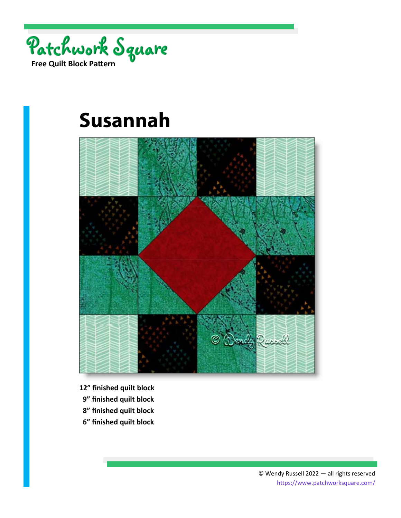

# **Susannah**



- **12" finished quilt block**
- **9" finished quilt block**
- **8" finished quilt block**
- **6" finished quilt block**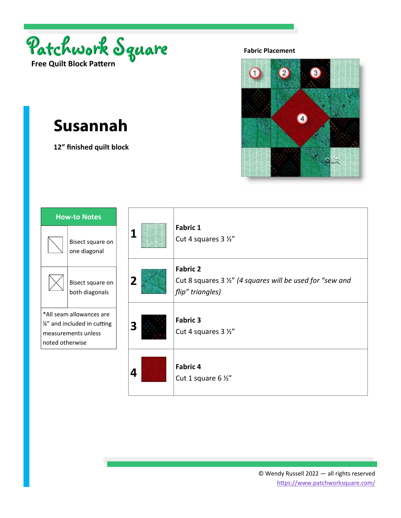



# **Susannah**

**12" finished quilt block** 



| 1                       | <b>Fabric 1</b><br>Cut 4 squares 3 1/2"                                                          |
|-------------------------|--------------------------------------------------------------------------------------------------|
| $\overline{\mathbf{2}}$ | <b>Fabric 2</b><br>Cut 8 squares 3 1/2" (4 squares will be used for "sew and<br>flip" triangles) |
| 3                       | <b>Fabric 3</b><br>Cut 4 squares 3 1/2"                                                          |
| 4                       | <b>Fabric 4</b><br>Cut 1 square 6 1/2"                                                           |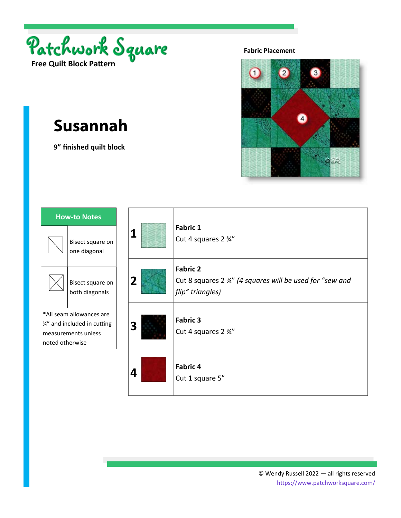



# **Susannah**

**9" finished quilt block** 



| 1 | <b>Fabric 1</b><br>Cut 4 squares 2 3/4"                                                          |
|---|--------------------------------------------------------------------------------------------------|
| 2 | <b>Fabric 2</b><br>Cut 8 squares 2 3/4" (4 squares will be used for "sew and<br>flip" triangles) |
| 3 | <b>Fabric 3</b><br>Cut 4 squares 2 3/4"                                                          |
| 4 | <b>Fabric 4</b><br>Cut 1 square 5"                                                               |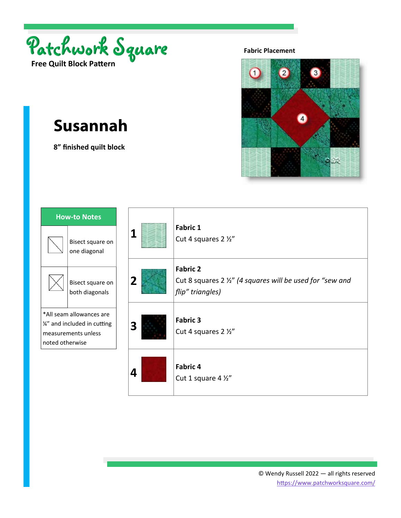



## **Susannah**

**8" finished quilt block** 



| 1 | <b>Fabric 1</b><br>Cut 4 squares 2 1/2"                                                          |
|---|--------------------------------------------------------------------------------------------------|
| 2 | <b>Fabric 2</b><br>Cut 8 squares 2 1/2" (4 squares will be used for "sew and<br>flip" triangles) |
| 3 | <b>Fabric 3</b><br>Cut 4 squares 2 1/2"                                                          |
| 4 | <b>Fabric 4</b><br>Cut 1 square 4 1/2"                                                           |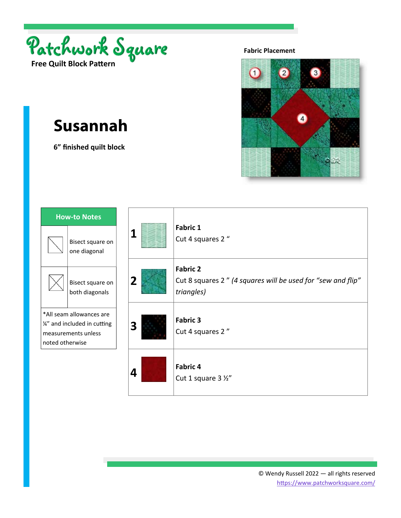



# **Susannah**

**6" finished quilt block** 



| 1 | <b>Fabric 1</b><br>Cut 4 squares 2"                                                          |
|---|----------------------------------------------------------------------------------------------|
| 2 | <b>Fabric 2</b><br>Cut 8 squares 2" (4 squares will be used for "sew and flip"<br>triangles) |
| 3 | <b>Fabric 3</b><br>Cut 4 squares 2"                                                          |
| 4 | <b>Fabric 4</b><br>Cut 1 square 3 1/2"                                                       |

 $\mathbf{I}$